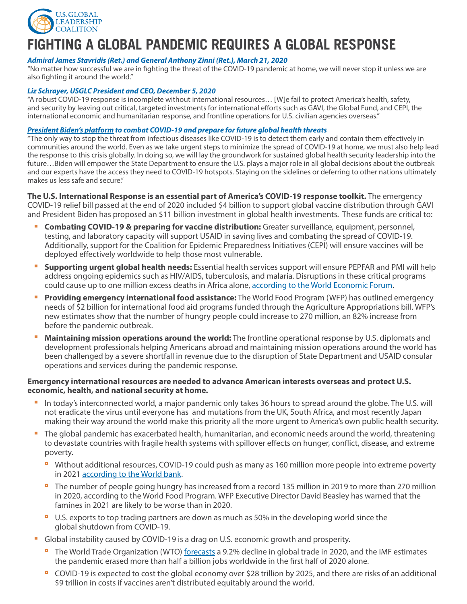

## **FIGHTING A GLOBAL PANDEMIC REQUIRES A GLOBAL RESPONSE**

### *Admiral James Stavridis (Ret.) and General Anthony Zinni (Ret.), March 21, 2020*

"No matter how successful we are in fighting the threat of the COVID-19 pandemic at home, we will never stop it unless we are also fighting it around the world."

#### *Liz Schrayer, USGLC President and CEO, December 5, 2020*

"A robust COVID-19 response is incomplete without international resources… [W]e fail to protect America's health, safety, and security by leaving out critical, targeted investments for international efforts such as GAVI, the Global Fund, and CEPI, the international economic and humanitarian response, and frontline operations for U.S. civilian agencies overseas."

#### *[President Biden's platform](https://joebiden.com/covid-plan/) to combat COVID-19 and prepare for future global health threats*

"The only way to stop the threat from infectious diseases like COVID-19 is to detect them early and contain them effectively in communities around the world. Even as we take urgent steps to minimize the spread of COVID-19 at home, we must also help lead the response to this crisis globally. In doing so, we will lay the groundwork for sustained global health security leadership into the future…Biden will empower the State Department to ensure the U.S. plays a major role in all global decisions about the outbreak and our experts have the access they need to COVID-19 hotspots. Staying on the sidelines or deferring to other nations ultimately makes us less safe and secure."

**The U.S. International Response is an essential part of America's COVID-19 response toolkit.** The emergency COVID-19 relief bill passed at the end of 2020 included \$4 billion to support global vaccine distribution through GAVI and President Biden has proposed an \$11 billion investment in global health investments. These funds are critical to:

- **E** Combating COVID-19 & preparing for vaccine distribution: Greater surveillance, equipment, personnel, testing, and laboratory capacity will support USAID in saving lives and combating the spread of COVID-19. Additionally, support for the Coalition for Epidemic Preparedness Initiatives (CEPI) will ensure vaccines will be deployed effectively worldwide to help those most vulnerable.
- **Supporting urgent global health needs:** Essential health services support will ensure PEPFAR and PMI will help address ongoing epidemics such as HIV/AIDS, tuberculosis, and malaria. Disruptions in these critical programs could cause up to one million excess deaths in Africa alone, [according to the World Economic Forum.](https://www.weforum.org/agenda/2021/01/covid-coronavirus-deaths-africa-malaria-tuberculosis-hiv-aids/)
- **Providing emergency international food assistance:** The World Food Program (WFP) has outlined emergency needs of \$2 billion for international food aid programs funded through the Agriculture Appropriations bill. WFP's new estimates show that the number of hungry people could increase to 270 million, an 82% increase from before the pandemic outbreak.
- **Maintaining mission operations around the world:** The frontline operational response by U.S. diplomats and development professionals helping Americans abroad and maintaining mission operations around the world has been challenged by a severe shortfall in revenue due to the disruption of State Department and USAID consular operations and services during the pandemic response.

### **Emergency international resources are needed to advance American interests overseas and protect U.S. economic, health, and national security at home.**

- In today's interconnected world, a major pandemic only takes 36 hours to spread around the globe. The U.S. will not eradicate the virus until everyone has and mutations from the UK, South Africa, and most recently Japan making their way around the world make this priority all the more urgent to America's own public health security.
- The global pandemic has exacerbated health, humanitarian, and economic needs around the world, threatening to devastate countries with fragile health systems with spillover effects on hunger, conflict, disease, and extreme poverty.
	- **P** Without additional resources, COVID-19 could push as many as 160 million more people into extreme poverty in 2021 [according to the World bank.](https://blogs.worldbank.org/opendata/updated-estimates-impact-covid-19-global-poverty-looking-back-2020-and-outlook-2021)
	- **P** The number of people going hungry has increased from a record 135 million in 2019 to more than 270 million in 2020, according to the World Food Program. WFP Executive Director David Beasley has warned that the famines in 2021 are likely to be worse than in 2020.
	- U.S. exports to top trading partners are down as much as 50% in the developing world since the global shutdown from COVID-19.
- Global instability caused by COVID-19 is a drag on U.S. economic growth and prosperity.
	- The World Trade Organization (WTO) [forecasts](https://www.wto.org/english/news_e/pres20_e/pr862_e.htm) a 9.2% decline in global trade in 2020, and the IMF estimates the pandemic erased more than half a billion jobs worldwide in the first half of 2020 alone.
	- COVID-19 is expected to cost the global economy over \$28 trillion by 2025, and there are risks of an additional \$9 trillion in costs if vaccines aren't distributed equitably around the world.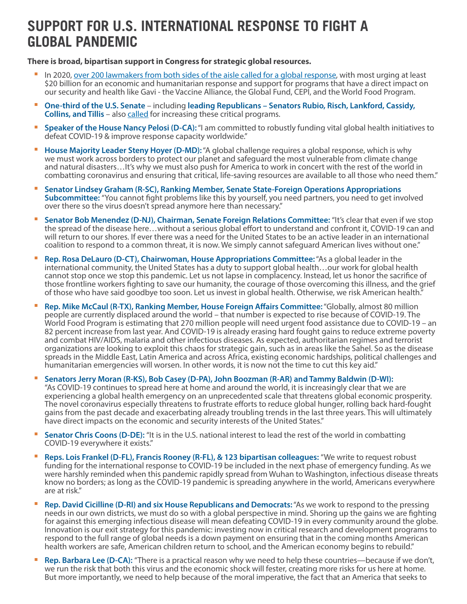# **SUPPORT FOR U.S. INTERNATIONAL RESPONSE TO FIGHT A GLOBAL PANDEMIC**

**There is broad, bipartisan support in Congress for strategic global resources.** 

- In 2020, [over 200 lawmakers from both sides of the aisle called for a global response,](https://www.usglc.org/coronavirus/the-congressional-response-to-the-global-pandemic/) with most urging at least \$20 billion for an economic and humanitarian response and support for programs that have a direct impact on our security and health like Gavi - the Vaccine Alliance, the Global Fund, CEPI, and the World Food Program.
- **One-third of the U.S. Senate** including **leading Republicans Senators Rubio, Risch, Lankford, Cassidy, Collins, and Tillis** – also [called](https://www.rubio.senate.gov/public/_cache/files/3db87974-b49f-450c-921f-7eb41274ea95/BA2F3316CF057D7203FA965D96AC13AC.2020-07-09-cardin-rubio-covid-intl-aid-letter-formatted-final-signedupdate.pdf) for increasing these critical programs.
- **Speaker of the House Nancy Pelosi (D-CA):** "I am committed to robustly funding vital global health initiatives to defeat COVID-19 & improve response capacity worldwide."
- **House Majority Leader Steny Hoyer (D-MD):** "A global challenge requires a global response, which is why we must work across borders to protect our planet and safeguard the most vulnerable from climate change and natural disasters…It's why we must also push for America to work in concert with the rest of the world in combatting coronavirus and ensuring that critical, life-saving resources are available to all those who need them."
- Senator Lindsey Graham (R-SC), Ranking Member, Senate State-Foreign Operations Appropriations **Subcommittee:** "You cannot fight problems like this by yourself, you need partners, you need to get involved over there so the virus doesn't spread anymore here than necessary."
- **Senator Bob Menendez (D-NJ), Chairman, Senate Foreign Relations Committee: "It's clear that even if we stop** the spread of the disease here…without a serious global effort to understand and confront it, COVID-19 can and will return to our shores. If ever there was a need for the United States to be an active leader in an international coalition to respond to a common threat, it is now. We simply cannot safeguard American lives without one."
- **Rep. Rosa DeLauro (D-CT), Chairwoman, House Appropriations Committee:** "As a global leader in the international community, the United States has a duty to support global health…our work for global health cannot stop once we stop this pandemic. Let us not lapse in complacency. Instead, let us honor the sacrifice of those frontline workers fighting to save our humanity, the courage of those overcoming this illness, and the grief of those who have said goodbye too soon. Let us invest in global health. Otherwise, we risk American health."
- **Rep. Mike McCaul (R-TX), Ranking Member, House Foreign Affairs Committee:** "Globally, almost 80 million people are currently displaced around the world – that number is expected to rise because of COVID-19. The World Food Program is estimating that 270 million people will need urgent food assistance due to COVID-19 – an 82 percent increase from last year. And COVID-19 is already erasing hard fought gains to reduce extreme poverty and combat HIV/AIDS, malaria and other infectious diseases. As expected, authoritarian regimes and terrorist organizations are looking to exploit this chaos for strategic gain, such as in areas like the Sahel. So as the disease spreads in the Middle East, Latin America and across Africa, existing economic hardships, political challenges and humanitarian emergencies will worsen. In other words, it is now not the time to cut this key aid."
- Senators Jerry Moran (R-KS), Bob Casey (D-PA), John Boozman (R-AR) and Tammy Baldwin (D-WI): "As COVID-19 continues to spread here at home and around the world, it is increasingly clear that we are experiencing a global health emergency on an unprecedented scale that threatens global economic prosperity. The novel coronavirus especially threatens to frustrate efforts to reduce global hunger, rolling back hard-fought gains from the past decade and exacerbating already troubling trends in the last three years. This will ultimately have direct impacts on the economic and security interests of the United States."
- **Senator Chris Coons (D-DE):** "It is in the U.S. national interest to lead the rest of the world in combatting COVID-19 everywhere it exists."
- **Reps. Lois Frankel (D-FL), Francis Rooney (R-FL), & 123 bipartisan colleagues: "We write to request robust** funding for the international response to COVID-19 be included in the next phase of emergency funding. As we were harshly reminded when this pandemic rapidly spread from Wuhan to Washington, infectious disease threats know no borders; as long as the COVID-19 pandemic is spreading anywhere in the world, Americans everywhere are at risk."
- **Rep. David Cicilline (D-RI) and six House Republicans and Democrats:** "As we work to respond to the pressing needs in our own districts, we must do so with a global perspective in mind. Shoring up the gains we are fighting for against this emerging infectious disease will mean defeating COVID-19 in every community around the globe. Innovation is our exit strategy for this pandemic: investing now in critical research and development programs to respond to the full range of global needs is a down payment on ensuring that in the coming months American health workers are safe, American children return to school, and the American economy begins to rebuild."
- **Rep. Barbara Lee (D-CA):** "There is a practical reason why we need to help these countries—because if we don't, we run the risk that both this virus and the economic shock will fester, creating more risks for us here at home. But more importantly, we need to help because of the moral imperative, the fact that an America that seeks to